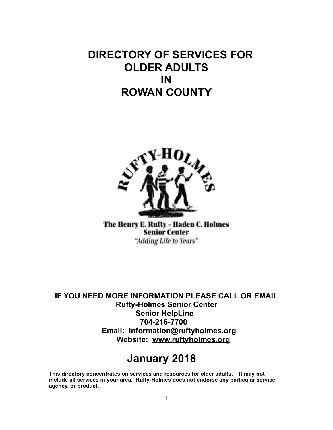# **DIRECTORY OF SERVICES FOR OLDER ADULTS IN ROWAN COUNTY**



The Henry E. Rufty - Haden C. Holmes **Senior Center** "Adding Life to Years"

**IF YOU NEED MORE INFORMATION PLEASE CALL OR EMAIL Rufty-Holmes Senior Center Senior HelpLine 704-216-7700 Email: information@ruftyholmes.org Website: [www.ruftyholmes.org](http://www.ruftyholmes.org/)**

# **January 2018**

**This directory concentrates on services and resources for older adults. It may not include all services in your area. Rufty-Holmes does not endorse any particular service, agency, or product.**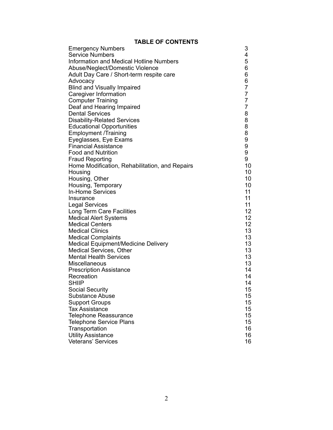#### **TABLE OF CONTENTS**

| <b>Emergency Numbers</b>                       | 3              |
|------------------------------------------------|----------------|
| <b>Service Numbers</b>                         | 4              |
| Information and Medical Hotline Numbers        | 5              |
| Abuse/Neglect/Domestic Violence                | 6              |
| Adult Day Care / Short-term respite care       | 6              |
| Advocacy                                       | 6              |
| <b>Blind and Visually Impaired</b>             | 7              |
| <b>Caregiver Information</b>                   | $\overline{7}$ |
| <b>Computer Training</b>                       | $\overline{7}$ |
| Deaf and Hearing Impaired                      | $\overline{7}$ |
| <b>Dental Services</b>                         | 8              |
| <b>Disability-Related Services</b>             | 8              |
| <b>Educational Opportunities</b>               | 8              |
| <b>Employment /Training</b>                    | 8              |
| Eyeglasses, Eye Exams                          | 9              |
| <b>Financial Assistance</b>                    | 9              |
| <b>Food and Nutrition</b>                      | 9              |
| <b>Fraud Reporting</b>                         | 9              |
| Home Modification, Rehabilitation, and Repairs | 10             |
| Housing                                        | 10             |
| Housing, Other                                 | 10             |
| Housing, Temporary                             | 10             |
| <b>In-Home Services</b>                        | 11             |
| Insurance                                      | 11             |
| <b>Legal Services</b>                          | 11             |
| Long Term Care Facilities                      | 12             |
| <b>Medical Alert Systems</b>                   | 12             |
| <b>Medical Centers</b>                         | 12             |
| <b>Medical Clinics</b>                         | 13             |
| <b>Medical Complaints</b>                      | 13             |
| Medical Equipment/Medicine Delivery            | 13             |
| <b>Medical Services, Other</b>                 | 13             |
| <b>Mental Health Services</b>                  | 13             |
| Miscellaneous                                  | 13             |
| <b>Prescription Assistance</b>                 | 14             |
| Recreation                                     | 14             |
| <b>SHIIP</b>                                   | 14             |
| <b>Social Security</b>                         | 15             |
| <b>Substance Abuse</b>                         | 15             |
| <b>Support Groups</b>                          | 15             |
| <b>Tax Assistance</b>                          | 15             |
| <b>Telephone Reassurance</b>                   | 15             |
| <b>Telephone Service Plans</b>                 | 15             |
| Transportation                                 | 16             |
| <b>Utility Assistance</b>                      | 16             |
| <b>Veterans' Services</b>                      | 16             |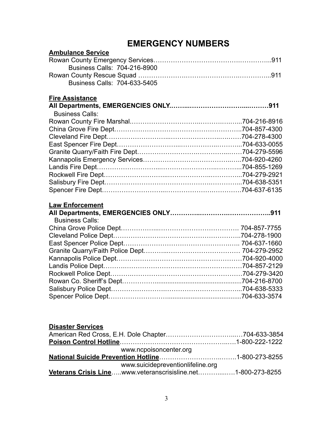# **EMERGENCY NUMBERS**

| <b>Ambulance Service</b>     |  |
|------------------------------|--|
|                              |  |
| Business Calls: 704-216-8900 |  |
|                              |  |
| Business Calls: 704-633-5405 |  |
| <b>Fire Assistance</b>       |  |
|                              |  |
| <b>Business Calls:</b>       |  |
|                              |  |
|                              |  |
|                              |  |
|                              |  |
|                              |  |
|                              |  |
|                              |  |
|                              |  |
|                              |  |
|                              |  |
| <b>Law Enforcement</b>       |  |
|                              |  |
| <b>Business Calls:</b>       |  |
|                              |  |
|                              |  |
|                              |  |
|                              |  |
|                              |  |
|                              |  |
|                              |  |
|                              |  |
|                              |  |
|                              |  |
|                              |  |
|                              |  |
| <b>Disaster Services</b>     |  |
|                              |  |

| www.ncpoisoncenter.org                                       |  |
|--------------------------------------------------------------|--|
|                                                              |  |
| www.suicidepreventionlifeline.org                            |  |
| Veterans Crisis Linewww.veteranscrisisline.net1-800-273-8255 |  |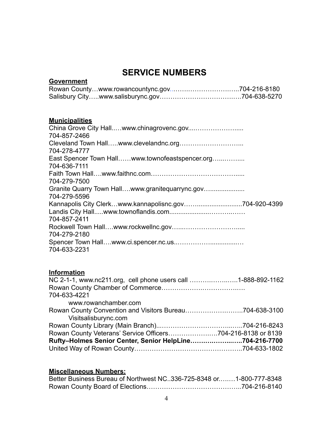# **SERVICE NUMBERS**

### **Government**

### **Municipalities**

#### **Information**

| NC 2-1-1, www.nc211.org, cell phone users call 1-888-892-1162 |  |
|---------------------------------------------------------------|--|
|                                                               |  |
| 704-633-4221                                                  |  |
| www.rowanchamber.com                                          |  |
|                                                               |  |
| Visitsalisburync.com                                          |  |
|                                                               |  |
|                                                               |  |
| Rufty-Holmes Senior Center, Senior HelpLine704-216-7700       |  |
|                                                               |  |

### **Miscellaneous Numbers:**

| Better Business Bureau of Northwest NC. 336-725-8348 or1-800-777-8348 |  |
|-----------------------------------------------------------------------|--|
|                                                                       |  |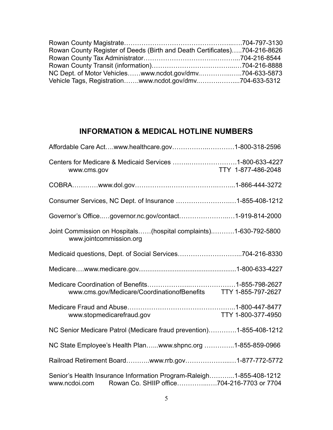| Rowan County Register of Deeds (Birth and Death Certificates)704-216-8626 |  |
|---------------------------------------------------------------------------|--|
|                                                                           |  |
|                                                                           |  |
|                                                                           |  |
| Vehicle Tags, Registrationwww.ncdot.gov/dmv704-633-5312                   |  |

# **INFORMATION & MEDICAL HOTLINE NUMBERS**

| Centers for Medicare & Medicaid Services 1-800-633-4227<br>www.cms.gov                                                          | TTY 1-877-486-2048 |
|---------------------------------------------------------------------------------------------------------------------------------|--------------------|
|                                                                                                                                 |                    |
| Consumer Services, NC Dept. of Insurance 1-855-408-1212                                                                         |                    |
| Governor's Officegovernor.nc.gov/contact1-919-814-2000                                                                          |                    |
| Joint Commission on Hospitals(hospital complaints)1-630-792-5800<br>www.jointcommission.org                                     |                    |
| Medicaid questions, Dept. of Social Services704-216-8330                                                                        |                    |
|                                                                                                                                 |                    |
| www.cms.gov/Medicare/CoordinationofBenefits TTY 1-855-797-2627                                                                  |                    |
| www.stopmedicarefraud.gov                                                                                                       | TTY 1-800-377-4950 |
| NC Senior Medicare Patrol (Medicare fraud prevention)1-855-408-1212                                                             |                    |
| NC State Employee's Health Planwww.shpnc.org 1-855-859-0966                                                                     |                    |
| Railroad Retirement Boardwww.rrb.gov1-877-772-5772                                                                              |                    |
| Senior's Health Insurance Information Program-Raleigh1-855-408-1212<br>www.ncdoi.com Rowan Co. SHIIP office704-216-7703 or 7704 |                    |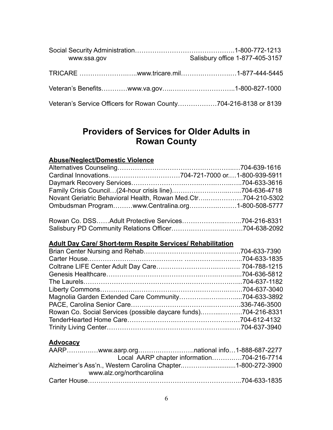| www.ssa.gov                                                     | Salisbury office 1-877-405-3157 |
|-----------------------------------------------------------------|---------------------------------|
| TRICARE www.tricare.mil1-877-444-5445                           |                                 |
|                                                                 |                                 |
| Veteran's Service Officers for Rowan County704-216-8138 or 8139 |                                 |

# **Providers of Services for Older Adults in Rowan County**

#### **Abuse/Neglect/Domestic Violence**

| Novant Geriatric Behavioral Health, Rowan Med.Ctr704-210-5302 |  |
|---------------------------------------------------------------|--|
| Ombudsman Programwww.Centralina.org1-800-508-5777             |  |
|                                                               |  |

| Rowan Co. DSSAdult Protective Services704-216-8331 |  |
|----------------------------------------------------|--|
|                                                    |  |

### **Adult Day Care/ Short-term Respite Services/ Rehabilitation**

| Rowan Co. Social Services (possible daycare funds)704-216-8331 |  |
|----------------------------------------------------------------|--|
|                                                                |  |
|                                                                |  |

#### **Advocacy**

| Local AARP chapter information704-216-7714                 |  |
|------------------------------------------------------------|--|
| Alzheimer's Ass'n., Western Carolina Chapter1-800-272-3900 |  |
| www.alz.org/northcarolina                                  |  |
|                                                            |  |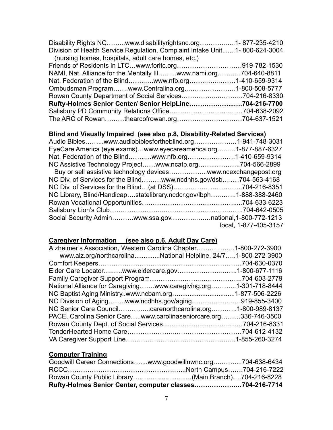| Disability Rights NCwww.disabilityrightsnc.org1-877-235-4210               |  |
|----------------------------------------------------------------------------|--|
| Division of Health Service Regulation, Complaint Intake Unit1-800-624-3004 |  |
| (nursing homes, hospitals, adult care homes, etc.)                         |  |
|                                                                            |  |
| NAMI, Nat. Alliance for the Mentally IIIwww.nami.org704-640-8811           |  |
| Nat. Federation of the Blindwww.nfb.org1-410-659-9314                      |  |
| Ombudsman Programwww.Centralina.org1-800-508-5777                          |  |
| Rowan County Department of Social Services704-216-8330                     |  |
| Rufty-Holmes Senior Center/ Senior HelpLine704-216-7700                    |  |
|                                                                            |  |
|                                                                            |  |

### **Blind and Visually Impaired (see also p.8, Disability-Related Services)**

| Audio Bibleswww.audiobiblesfortheblind.org1-941-748-3031            |                       |
|---------------------------------------------------------------------|-----------------------|
| EyeCare America (eye exams)www.eyecareamerica.org1-877-887-6327     |                       |
| Nat. Federation of the Blindwww.nfb.org1-410-659-9314               |                       |
| NC Assistive Technology Projectwww.ncatp.org704-566-2899            |                       |
| Buy or sell assistive technology deviceswww.ncexchangepost.org      |                       |
| NC Div. of Services for the Blindwww.ncdhhs.gov/dsb704-563-4168     |                       |
|                                                                     |                       |
| NC Library, Blind/Handicapstatelibrary.ncdcr.gov/lbph1-888-388-2460 |                       |
|                                                                     |                       |
|                                                                     |                       |
| Social Security Adminwww.ssa.govnational, 1-800-772-1213            |                       |
|                                                                     | local, 1-877-405-3157 |

### **Caregiver Information (see also p.6, Adult Day Care)**

| Alzheimer's Association, Western Carolina Chapter1-800-272-3900  |  |
|------------------------------------------------------------------|--|
| www.alz.org/northcarolinaNational Helpline, 24/71-800-272-3900   |  |
|                                                                  |  |
| Elder Care Locatorwww.eldercare.gov1-800-677-1116                |  |
|                                                                  |  |
| National Alliance for Caregivingwww.caregiving.org1-301-718-8444 |  |
|                                                                  |  |
| NC Division of Agingwww.ncdhhs.gov/aging919-855-3400             |  |
| NC Senior Care Councilcarenorthcarolina.org1-800-989-8137        |  |
| PACE, Carolina Senior Carewww.carolinaseniorcare.org336-746-3500 |  |
|                                                                  |  |
|                                                                  |  |
|                                                                  |  |
|                                                                  |  |

### **Computer Training**

| Goodwill Career Connectionswww.goodwillnwnc.org704-638-6434 |  |
|-------------------------------------------------------------|--|
|                                                             |  |
| Rowan County Public Library(Main Branch)704-216-8228        |  |
| Rufty-Holmes Senior Center, computer classes704-216-7714    |  |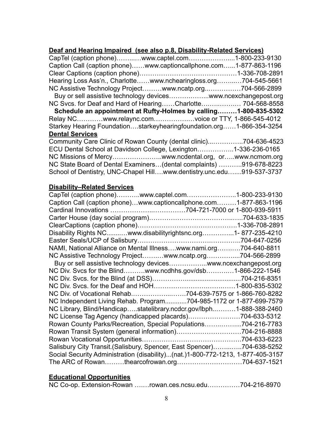#### **Deaf and Hearing Impaired (see also p.8, Disability-Related Services)**

| CapTel (caption phone)www.captel.com1-800-233-9130                    |
|-----------------------------------------------------------------------|
| Caption Call (caption phone)www.captioncallphone.com1-877-863-1196    |
|                                                                       |
| Hearing Loss Ass'n., Charlottewww.nchearingloss.org704-545-5661       |
| NC Assistive Technology Projectwww.ncatp.org704-566-2899              |
| Buy or sell assistive technology deviceswww.ncexchangepost.org        |
| NC Svcs. for Deaf and Hard of HearingCharlotte 704-568-8558           |
| Schedule an appointment at Rufty-Holmes by calling1-800-835-5302      |
| Relay NCwww.relaync.comvoice or TTY, 1-866-545-4012                   |
| Starkey Hearing Foundationstarkeyhearingfoundation.org1-866-354-3254  |
| <b>Dental Services</b>                                                |
| Community Care Clinic of Rowan County (dental clinic)704-636-4523     |
| ECU Dental School at Davidson College, Lexington1-336-236-0165        |
|                                                                       |
| NC State Board of Dental Examiners(dental complaints) 919-678-8223    |
| School of Dentistry, UNC-Chapel Hillwww.dentistry.unc.edu919-537-3737 |

#### **Disability–Related Services**

| CapTel (caption phone)www.captel.com1-800-233-9130                              |  |
|---------------------------------------------------------------------------------|--|
| Caption Call (caption phone)www.captioncallphone.com1-877-863-1196              |  |
|                                                                                 |  |
|                                                                                 |  |
|                                                                                 |  |
| Disability Rights NCwww.disabilityrightsnc.org1-877-235-4210                    |  |
|                                                                                 |  |
| NAMI, National Alliance on Mental Illnesswww.nami.org704-640-8811               |  |
| NC Assistive Technology Projectwww.ncatp.org704-566-2899                        |  |
| Buy or sell assistive technology deviceswww.ncexchangepost.org                  |  |
| NC Div. Svcs for the Blindwww.ncdhhs.gov/dsb1-866-222-1546                      |  |
|                                                                                 |  |
|                                                                                 |  |
| NC Div. of Vocational Rehab704-639-7575 or 1-866-760-8282                       |  |
| NC Independent Living Rehab. Program704-985-1172 or 1-877-699-7579              |  |
| NC Library, Blind/Handicapstatelibrary.ncdcr.gov/lbph1-888-388-2460             |  |
| NC License Tag Agency (handicapped placards)704-633-5312                        |  |
| Rowan County Parks/Recreation, Special Populations704-216-7783                  |  |
|                                                                                 |  |
|                                                                                 |  |
| Salisbury City Transit. (Salisbury, Spencer, East Spencer)704-638-5252          |  |
| Social Security Administration (disability)(nat.)1-800-772-1213, 1-877-405-3157 |  |
|                                                                                 |  |

### **Educational Opportunities**

|  |  |  | NC Co-op. Extension-Rowan rowan.ces.ncsu.edu704-216-8970 |  |
|--|--|--|----------------------------------------------------------|--|
|--|--|--|----------------------------------------------------------|--|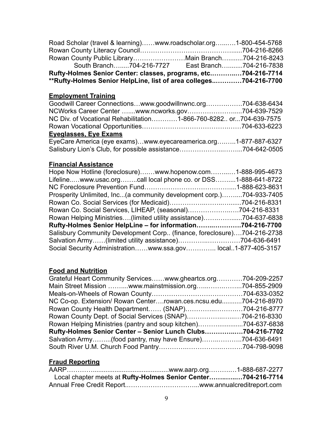| Road Scholar (travel & learning)www.roadscholar.org1-800-454-5768 |  |  |  |
|-------------------------------------------------------------------|--|--|--|
|                                                                   |  |  |  |
| Rowan County Public LibraryMain Branch704-216-8243                |  |  |  |
| South Branch704-216-7727 East Branch704-216-7838                  |  |  |  |
| Rufty-Holmes Senior Center: classes, programs, etc704-216-7714    |  |  |  |
| **Rufty-Holmes Senior HelpLine, list of area colleges704-216-7700 |  |  |  |

### **Employment Training**

| Goodwill Career Connectionswww.goodwillnwnc.org704-638-6434       |  |
|-------------------------------------------------------------------|--|
|                                                                   |  |
| NC Div. of Vocational Rehabilitation1-866-760-8282 or704-639-7575 |  |
|                                                                   |  |
| <b>Eyeglasses, Eye Exams</b>                                      |  |
| EyeCare America (eye exams)www.eyecareamerica.org1-877-887-6327   |  |
|                                                                   |  |
|                                                                   |  |

#### **Financial Assistance**

| Hope Now Hotline (foreclosure)www.hopenow.com1-888-995-4673             |  |
|-------------------------------------------------------------------------|--|
| Lifelinewww.usac.orgcall local phone co. or DSS1-888-641-8722           |  |
|                                                                         |  |
| Prosperity Unlimited, Inc(a community development corp.)704-933-7405    |  |
|                                                                         |  |
| Rowan Co. Social Services, LIHEAP, (seasonal)704-216-8331               |  |
| Rowan Helping Ministries(limited utility assistance)704-637-6838        |  |
| Rufty-Holmes Senior HelpLine - for information704-216-7700              |  |
| Salisbury Community Development Corp (finance, foreclosure)704-216-2738 |  |
| Salvation Army(limited utility assistance)704-636-6491                  |  |
| Social Security Administrationwww.ssa.gov local1-877-405-3157           |  |

### **Food and Nutrition**

| Grateful Heart Community Serviceswww.gheartcs.org704-209-2257   |  |
|-----------------------------------------------------------------|--|
| Main Street Mission www.mainstmission.org704-855-2909           |  |
|                                                                 |  |
| NC Co-op. Extension/ Rowan Centerrowan.ces.ncsu.edu704-216-8970 |  |
| Rowan County Health Department (SNAP)704-216-8777               |  |
|                                                                 |  |
| Rowan Helping Ministries (pantry and soup kitchen)704-637-6838  |  |
| Rufty-Holmes Senior Center - Senior Lunch Clubs704-216-7702     |  |
| Salvation Army(food pantry, may have Ensure)704-636-6491        |  |
|                                                                 |  |

### **Fraud Reporting**

| Local chapter meets at Rufty-Holmes Senior Center704-216-7714 |  |
|---------------------------------------------------------------|--|
|                                                               |  |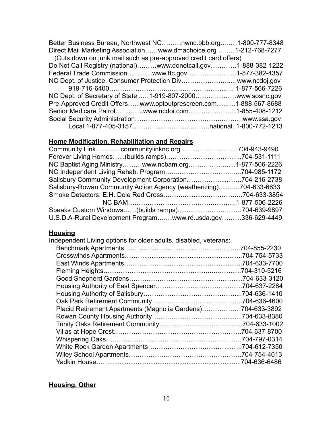| Better Business Bureau, Northwest NCnwnc.bbb.org1-800-777-8348    |  |
|-------------------------------------------------------------------|--|
| Direct Mail Marketing Associationwww.dmachoice.org 1-212-768-7277 |  |
| (Cuts down on junk mail such as pre-approved credit card offers)  |  |
| Do Not Call Registry (national)www.donotcall.gov1-888-382-1222    |  |
| Federal Trade Commissionwww.ftc.gov1-877-382-4357                 |  |
| NC Dept. of Justice, Consumer Protection Divwww.ncdoj.gov         |  |
|                                                                   |  |
| NC Dept. of Secretary of State 1-919-807-2000www.sosnc.gov        |  |
| Pre-Approved Credit Offerswww.optoutprescreen.com1-888-567-8688   |  |
| Senior Medicare Patrolwww.ncdoi.com1-855-408-1212                 |  |
|                                                                   |  |
|                                                                   |  |

### **Home Modification, Rehabilitation and Repairs**

| Community Linkcommunitylinknc.org704-943-9490                      |  |
|--------------------------------------------------------------------|--|
|                                                                    |  |
| NC Baptist Aging Ministrywww.ncbam.org1-877-506-2226               |  |
|                                                                    |  |
| Salisbury Community Development Corporation704-216-2738            |  |
| Salisbury-Rowan Community Action Agency (weatherizing)704-633-6633 |  |
|                                                                    |  |
|                                                                    |  |
|                                                                    |  |
| U.S.D.A-Rural Development Programwww.rd.usda.gov336-629-4449       |  |

### **Housing**

| Independent Living options for older adults, disabled, veterans: |               |
|------------------------------------------------------------------|---------------|
|                                                                  | .704-855-2230 |
|                                                                  | .704-754-5733 |
|                                                                  | .704-633-7700 |
|                                                                  | .704-310-5216 |
|                                                                  | .704-633-3120 |
|                                                                  | .704-637-2284 |
|                                                                  | .704-636-1410 |
|                                                                  | .704-636-4600 |
| Placid Retirement Apartments (Magnolia Gardens)                  | .704-633-3892 |
|                                                                  | .704-633-8380 |
|                                                                  | .704-633-1002 |
|                                                                  | .704-637-8700 |
|                                                                  |               |
|                                                                  |               |
|                                                                  |               |
|                                                                  | .704-636-6486 |
|                                                                  |               |

### **Housing, Other**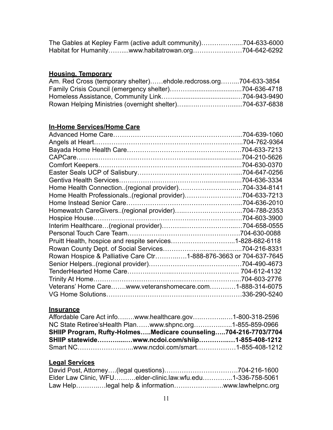| The Gables at Kepley Farm (active adult community)704-633-6000 |  |
|----------------------------------------------------------------|--|
| Habitat for Humanitywww.habitatrowan.org704-642-6292           |  |

# **Housing, Temporary**

| Am. Red Cross (temporary shelter)ehdole.redcross.org704-633-3854 |  |
|------------------------------------------------------------------|--|
|                                                                  |  |
|                                                                  |  |
|                                                                  |  |

### **In-Home Services/Home Care**

|                                                                   | .704-639-1060 |
|-------------------------------------------------------------------|---------------|
|                                                                   |               |
|                                                                   |               |
|                                                                   | .704-210-5626 |
|                                                                   |               |
|                                                                   |               |
|                                                                   | .704-636-3334 |
|                                                                   |               |
| Home Health Professionals. (regional provider)704-633-7213        |               |
|                                                                   |               |
| Homewatch CareGivers(regional provider)704-788-2353               |               |
|                                                                   |               |
|                                                                   |               |
|                                                                   |               |
|                                                                   |               |
|                                                                   |               |
| Rowan Hospice & Palliative Care Ctr1-888-876-3663 or 704-637-7645 |               |
|                                                                   |               |
|                                                                   |               |
| Trinity At Home                                                   | .704-603-2776 |
| Veterans' Home Carewww.veteranshomecare.com1-888-314-6075         |               |
|                                                                   |               |

### **Insurance**

| Affordable Care Act infowww.healthcare.gov1-800-318-2596        |  |
|-----------------------------------------------------------------|--|
| NC State Retiree's Health Planwww.shpnc.org1-855-859-0966       |  |
| SHIIP Program, Rufty-HolmesMedicare counseling704-216-7703/7704 |  |
| SHIIP statewidewww.ncdoi.com/shiip1-855-408-1212                |  |
|                                                                 |  |

### **Legal Services**

|  | Elder Law Clinic, WFUelder-clinic.law.wfu.edu1-336-758-5061 |
|--|-------------------------------------------------------------|
|  |                                                             |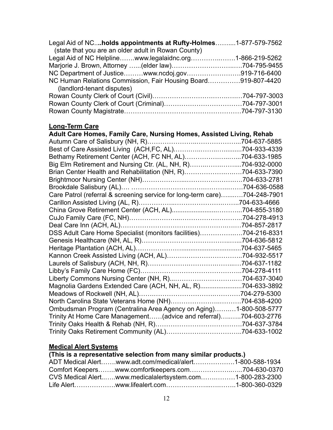| Legal Aid of NCholds appointments at Rufty-Holmes1-877-579-7562 |  |
|-----------------------------------------------------------------|--|
| (state that you are an older adult in Rowan County)             |  |
| Legal Aid of NC Helplinewww.legalaidnc.org1-866-219-5262        |  |
|                                                                 |  |
| NC Department of Justicewww.ncdoj.gov919-716-6400               |  |
| NC Human Relations Commission, Fair Housing Board919-807-4420   |  |
| (landlord-tenant disputes)                                      |  |
|                                                                 |  |
|                                                                 |  |
|                                                                 |  |

### **Long-Term Care**

| Adult Care Homes, Family Care, Nursing Homes, Assisted Living, Rehab      |               |  |  |
|---------------------------------------------------------------------------|---------------|--|--|
|                                                                           | .704-637-5885 |  |  |
|                                                                           |               |  |  |
| Bethamy Retirement Center (ACH, FC NH, AL)704-633-1985                    |               |  |  |
| Big Elm Retirement and Nursing Ctr. (AL, NH, R)704-932-0000               |               |  |  |
| Brian Center Health and Rehabilitation (NH, R)704-633-7390                |               |  |  |
|                                                                           |               |  |  |
|                                                                           |               |  |  |
| Care Patrol (referral & screening service for long-term care)704-248-7901 |               |  |  |
|                                                                           |               |  |  |
|                                                                           |               |  |  |
|                                                                           |               |  |  |
|                                                                           |               |  |  |
| DSS Adult Care Home Specialist (monitors facilities)704-216-8331          |               |  |  |
|                                                                           |               |  |  |
|                                                                           |               |  |  |
|                                                                           |               |  |  |
|                                                                           |               |  |  |
|                                                                           |               |  |  |
|                                                                           |               |  |  |
| Magnolia Gardens Extended Care (ACH, NH, AL, R)704-633-3892               |               |  |  |
|                                                                           |               |  |  |
|                                                                           |               |  |  |
| Ombudsman Program (Centralina Area Agency on Aging)1-800-508-5777         |               |  |  |
| Trinity At Home Care Management(advice and referral)704-603-2776          |               |  |  |
|                                                                           |               |  |  |
|                                                                           |               |  |  |

### **Medical Alert Systems**

# **(This is a representative selection from many similar products.)**

| ADT Medical Alertwww.adt.com/medical/alert1-800-588-1934  |  |
|-----------------------------------------------------------|--|
|                                                           |  |
| CVS Medical Alertwww.medicalalertsystem.com1-800-283-2300 |  |
|                                                           |  |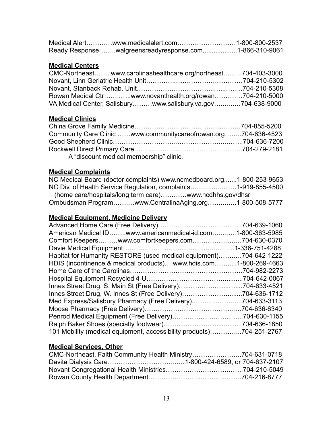| Medical Alertwww.medicalalert.com1-800-800-2537        |  |
|--------------------------------------------------------|--|
| Ready Responsewalgreensreadyresponse.com1-866-310-9061 |  |

#### **Medical Centers**

| CMC-Northeastwww.carolinashealthcare.org/northeast704-403-3000 |  |
|----------------------------------------------------------------|--|
|                                                                |  |
|                                                                |  |
| Rowan Medical Ctrwww.novanthealth.org/rowan704-210-5000        |  |
| VA Medical Center, Salisburywww.salisbury.va.gov704-638-9000   |  |

#### **Medical Clinics**

| Community Care Clinic www.communitycareofrowan.org704-636-4523 |  |
|----------------------------------------------------------------|--|
|                                                                |  |
|                                                                |  |
| A "discount medical membership" clinic.                        |  |

### **Medical Complaints**

| NC Medical Board (doctor complaints) www.ncmedboard.org1-800-253-9653 |  |
|-----------------------------------------------------------------------|--|
| NC Div. of Health Service Regulation, complaints1-919-855-4500        |  |
| (home care/hospitals/long term care) www.ncdhhs.gov/dhsr              |  |
| Ombudsman Programwww.CentralinaAging.org1-800-508-5777                |  |

#### **Medical Equipment, Medicine Delivery**

| American Medical IDwww.americanmedical-id.com1-800-363-5985           |
|-----------------------------------------------------------------------|
| Comfort Keeperswww.comfortkeepers.com704-630-0370                     |
|                                                                       |
| Habitat for Humanity RESTORE (used medical equipment)704-642-1222     |
| HDIS (incontinence & medical products)www.hdis.com<br>.1-800-269-4663 |
|                                                                       |
| .704-642-0067                                                         |
|                                                                       |
| Innes Street Drug, W. Innes St (Free Delivery)<br>.704-636-1712       |
| Med Express/Salisbury Pharmacy (Free Delivery)<br>.704-633-3113       |
| .704-636-6340                                                         |
|                                                                       |
| .704-636-1850                                                         |
| 101 Mobility (medical equipment, accessibility products)704-251-2767  |
|                                                                       |

#### **Medical Services, Other**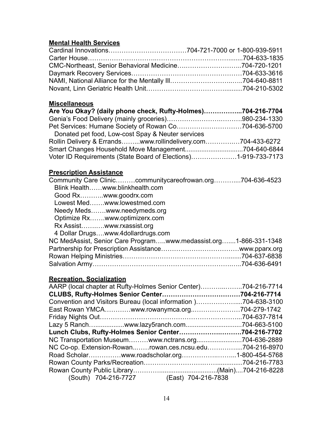### **Mental Health Services**

### **Miscellaneous**

| Are You Okay? (daily phone check, Rufty-Holmes)704-216-7704    |  |
|----------------------------------------------------------------|--|
|                                                                |  |
| Pet Services: Humane Society of Rowan Co704-636-5700           |  |
| Donated pet food, Low-cost Spay & Neuter services              |  |
| Rollin Delivery & Errandswww.rollindelivery.com704-433-6272    |  |
|                                                                |  |
| Voter ID Requirements (State Board of Elections)1-919-733-7173 |  |

### **Prescription Assistance**

| Community Care Cliniccommunitycareofrowan.org704-636-4523        |
|------------------------------------------------------------------|
|                                                                  |
|                                                                  |
|                                                                  |
|                                                                  |
|                                                                  |
|                                                                  |
|                                                                  |
| NC MedAssist, Senior Care Programwww.medassist.org1-866-331-1348 |
|                                                                  |
|                                                                  |
|                                                                  |
|                                                                  |

### **Recreation, Socialization**

| AARP (local chapter at Rufty-Holmes Senior Center)704-216-7714 |  |
|----------------------------------------------------------------|--|
|                                                                |  |
| Convention and Visitors Bureau (local information)704-638-3100 |  |
| East Rowan YMCAwww.rowanymca.org704-279-1742                   |  |
|                                                                |  |
|                                                                |  |
| Lunch Clubs, Rufty-Holmes Senior Center704-216-7702            |  |
| NC Transportation Museumwww.nctrans.org704-636-2889            |  |
| NC Co-op. Extension-Rowanrowan.ces.ncsu.edu704-216-8970        |  |
|                                                                |  |
|                                                                |  |
|                                                                |  |
| (South) 704-216-7727 (East) 704-216-7838                       |  |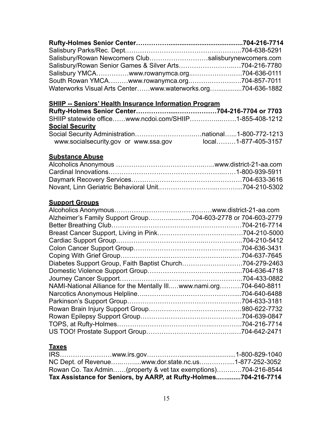| Salisbury/Rowan Newcomers Clubsalisburynewcomers.com        |  |
|-------------------------------------------------------------|--|
| Salisbury/Rowan Senior Games & Silver Arts704-216-7780      |  |
| Salisbury YMCAwww.rowanymca.org704-636-0111                 |  |
| South Rowan YMCAwww.rowanymca.org704-857-7011               |  |
| Waterworks Visual Arts Centerwww.waterworks.org704-636-1882 |  |

### **SHIIP -- Seniors' Health Insurance Information Program**

| SHIIP statewide officewww.ncdoi.com/SHIIP1-855-408-1212 |                        |
|---------------------------------------------------------|------------------------|
| <b>Social Security</b>                                  |                        |
|                                                         |                        |
| www.socialsecurity.gov or www.ssa.gov                   | $local$ 1-877-405-3157 |

### **Substance Abuse**

### **Support Groups**

| Alzheimer's Family Support Group704-603-2778 or 704-603-2779 |               |
|--------------------------------------------------------------|---------------|
|                                                              |               |
|                                                              |               |
|                                                              |               |
|                                                              |               |
|                                                              |               |
| Diabetes Support Group, Faith Baptist Church704-279-2463     |               |
|                                                              | .704-636-4718 |
|                                                              | 704-433-0882  |
| NAMI-National Alliance for the Mentally IIIwww.nami.org      | .704-640-8811 |
|                                                              | .704-640-6488 |
|                                                              | .704-633-3181 |
|                                                              |               |
|                                                              |               |
|                                                              |               |
|                                                              |               |

### **Taxes**

| NC Dept. of Revenuewww.dor.state.nc.us1-877-252-3052             |  |
|------------------------------------------------------------------|--|
| Rowan Co. Tax Admin(property & vet tax exemptions)704-216-8544   |  |
| Tax Assistance for Seniors, by AARP, at Rufty-Holmes704-216-7714 |  |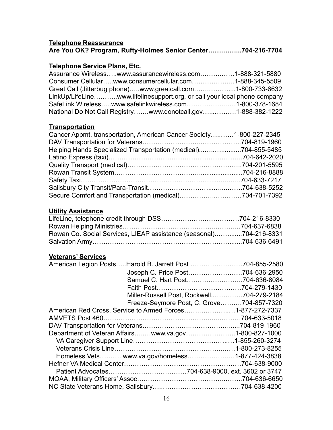#### **Telephone Reassurance Are You OK? Program, Rufty-Holmes Senior Center…….……...704-216-7704**

#### **Telephone Service Plans, Etc.**

| Assurance Wirelesswww.assurancewireless.com1-888-321-5880                |  |
|--------------------------------------------------------------------------|--|
| Consumer Cellularwww.consumercellular.com1-888-345-5509                  |  |
| Great Call (Jitterbug phone)www.greatcall.com1-800-733-6632              |  |
| LinkUp/LifeLinewww.lifelinesupport.org, or call your local phone company |  |
| SafeLink Wirelesswww.safelinkwireless.com1-800-378-1684                  |  |
| National Do Not Call Registrywww.donotcall.gov1-888-382-1222             |  |

### **Transportation**

| Cancer Appmt. transportation, American Cancer Society1-800-227-2345 |  |
|---------------------------------------------------------------------|--|
|                                                                     |  |
| Helping Hands Specialized Transportation (medical)704-855-5485      |  |
|                                                                     |  |
|                                                                     |  |
|                                                                     |  |
|                                                                     |  |
|                                                                     |  |
| Secure Comfort and Transportation (medical)704-701-7392             |  |

#### **Utility Assistance**

| Rowan Co. Social Services, LIEAP assistance (seasonal)704-216-8331 |  |
|--------------------------------------------------------------------|--|
|                                                                    |  |

#### **Veterans' Services**

| American Legion PostsHarold B. Jarrett Post 704-855-2580  |                                           |
|-----------------------------------------------------------|-------------------------------------------|
|                                                           | Joseph C. Price Post704-636-2950          |
|                                                           | Samuel C. Hart Post704-636-8084           |
|                                                           |                                           |
|                                                           | Miller-Russell Post, Rockwell704-279-2184 |
|                                                           | Freeze-Seymore Post, C. Grove704-857-7320 |
| American Red Cross, Service to Armed Forces1-877-272-7337 |                                           |
|                                                           |                                           |
|                                                           |                                           |
| Department of Veteran Affairswww.va.gov1-800-827-1000     |                                           |
|                                                           |                                           |
|                                                           |                                           |
| Homeless Vetswww.va.gov/homeless1-877-424-3838            |                                           |
|                                                           |                                           |
|                                                           |                                           |
|                                                           |                                           |
|                                                           |                                           |